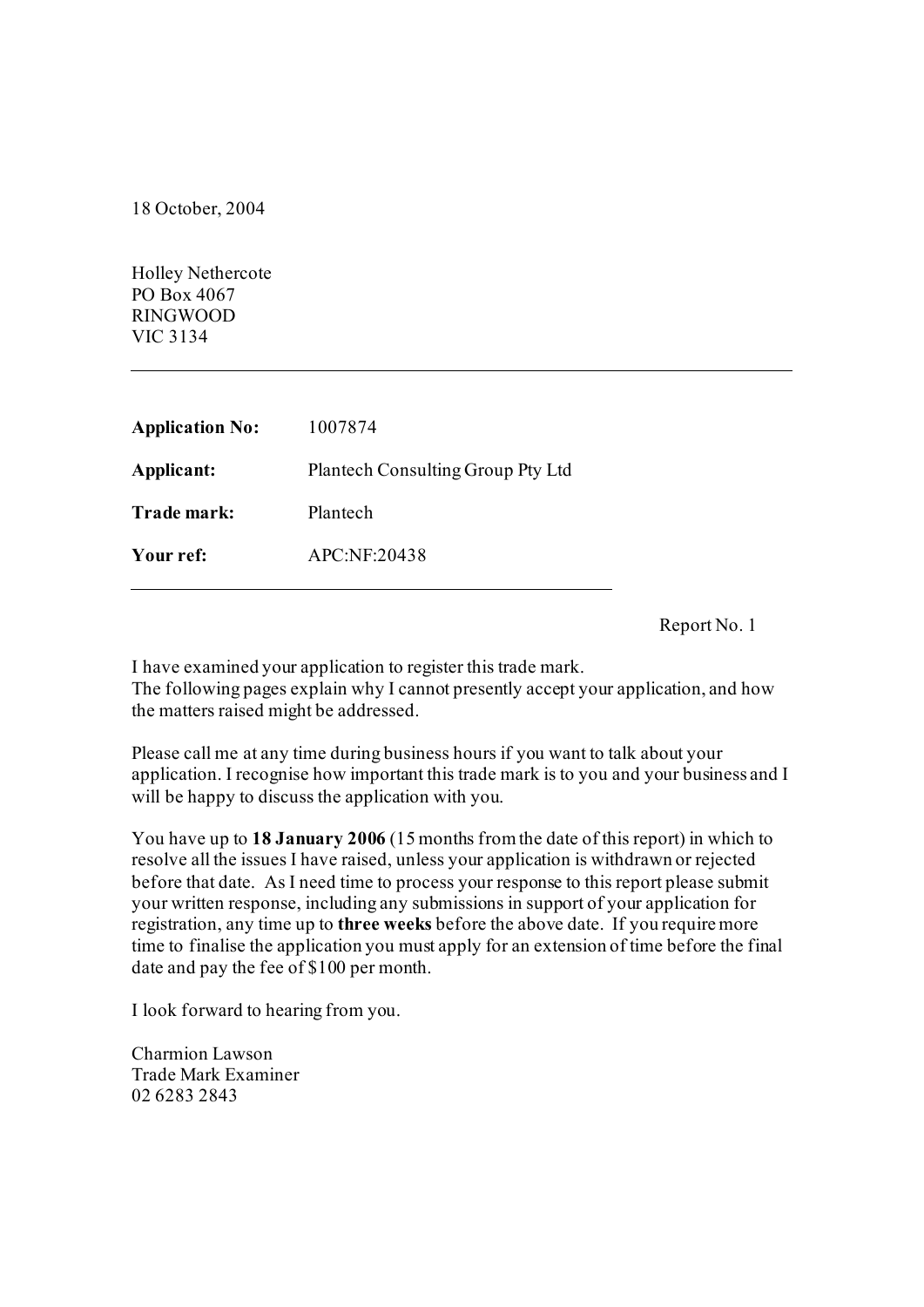18 October, 2004

Holley Nethercote PO Box 4067 RINGWOOD VIC 3134

| <b>Application No:</b> | 1007874                           |
|------------------------|-----------------------------------|
| Applicant:             | Plantech Consulting Group Pty Ltd |
| Trade mark:            | Plantech                          |
| Your ref:              | APC:NF:20438                      |
|                        |                                   |

Report No. 1

I have examined your application to register this trade mark. The following pages explain why I cannot presently accept your application, and how the matters raised might be addressed.

Please call me at any time during business hours if you want to talk about your application. I recognise how important this trade mark is to you and your business and I will be happy to discuss the application with you.

You have up to **18 January 2006** (15 months from the date of this report) in which to resolve all the issues I have raised, unless your application is withdrawn or rejected before that date. As I need time to process your response to this report please submit your written response, including any submissions in support of your application for registration, any time up to **three weeks** before the above date. If you require more time to finalise the application you must apply for an extension of time before the final date and pay the fee of \$100 per month.

I look forward to hearing from you.

Charmion Lawson Trade Mark Examiner 02 6283 2843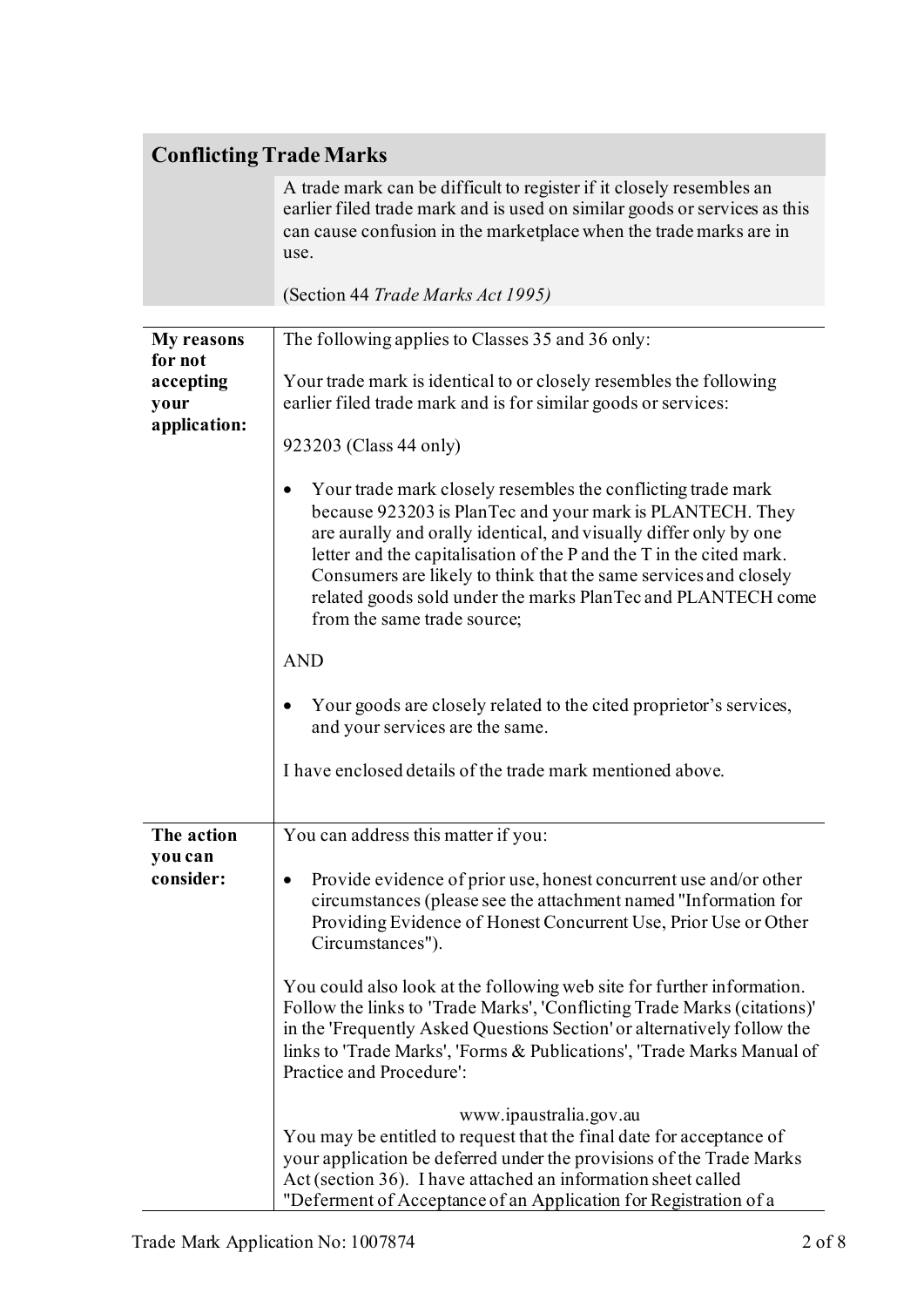### **Conflicting Trade Marks**

A trade mark can be difficult to register if it closely resembles an earlier filed trade mark and is used on similar goods or services as this can cause confusion in the marketplace when the trade marks are in use.

(Section 44 *Trade Marks Act 1995)*

| <b>My reasons</b>                            | The following applies to Classes 35 and 36 only:                                                                                                                                                                                                                                                                                                                                                                                         |
|----------------------------------------------|------------------------------------------------------------------------------------------------------------------------------------------------------------------------------------------------------------------------------------------------------------------------------------------------------------------------------------------------------------------------------------------------------------------------------------------|
| for not<br>accepting<br>your<br>application: | Your trade mark is identical to or closely resembles the following<br>earlier filed trade mark and is for similar goods or services:<br>923203 (Class 44 only)                                                                                                                                                                                                                                                                           |
|                                              | Your trade mark closely resembles the conflicting trade mark<br>because 923203 is PlanTec and your mark is PLANTECH. They<br>are aurally and orally identical, and visually differ only by one<br>letter and the capitalisation of the P and the T in the cited mark.<br>Consumers are likely to think that the same services and closely<br>related goods sold under the marks PlanTec and PLANTECH come<br>from the same trade source; |
|                                              | <b>AND</b>                                                                                                                                                                                                                                                                                                                                                                                                                               |
|                                              | Your goods are closely related to the cited proprietor's services,<br>and your services are the same.                                                                                                                                                                                                                                                                                                                                    |
|                                              | I have enclosed details of the trade mark mentioned above.                                                                                                                                                                                                                                                                                                                                                                               |
| The action                                   | You can address this matter if you:                                                                                                                                                                                                                                                                                                                                                                                                      |
| you can<br>consider:                         | Provide evidence of prior use, honest concurrent use and/or other<br>٠<br>circumstances (please see the attachment named "Information for<br>Providing Evidence of Honest Concurrent Use, Prior Use or Other<br>Circumstances").                                                                                                                                                                                                         |
|                                              | You could also look at the following web site for further information.<br>Follow the links to 'Trade Marks', 'Conflicting Trade Marks (citations)'<br>in the 'Frequently Asked Questions Section' or alternatively follow the<br>links to 'Trade Marks', 'Forms & Publications', 'Trade Marks Manual of<br>Practice and Procedure':                                                                                                      |
|                                              | www.ipaustralia.gov.au<br>You may be entitled to request that the final date for acceptance of<br>your application be deferred under the provisions of the Trade Marks<br>Act (section 36). I have attached an information sheet called<br>"Deferment of Acceptance of an Application for Registration of a                                                                                                                              |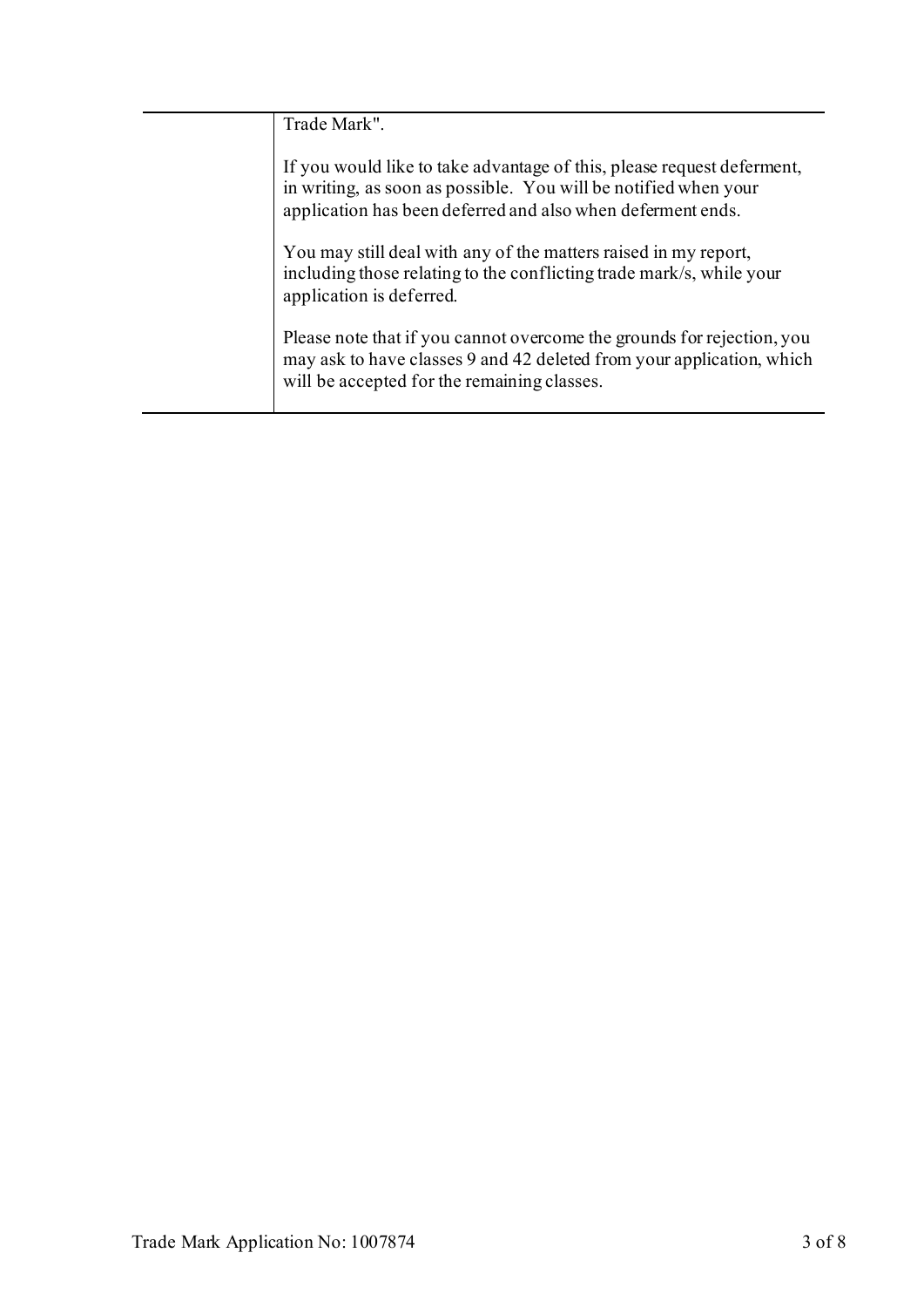| Trade Mark".                                                                                                                                                                                             |
|----------------------------------------------------------------------------------------------------------------------------------------------------------------------------------------------------------|
| If you would like to take advantage of this, please request deferment,<br>in writing, as soon as possible. You will be notified when your<br>application has been deferred and also when deferment ends. |
| You may still deal with any of the matters raised in my report,<br>including those relating to the conflicting trade mark/s, while your<br>application is deferred.                                      |
| Please note that if you cannot overcome the grounds for rejection, you<br>may ask to have classes 9 and 42 deleted from your application, which<br>will be accepted for the remaining classes.           |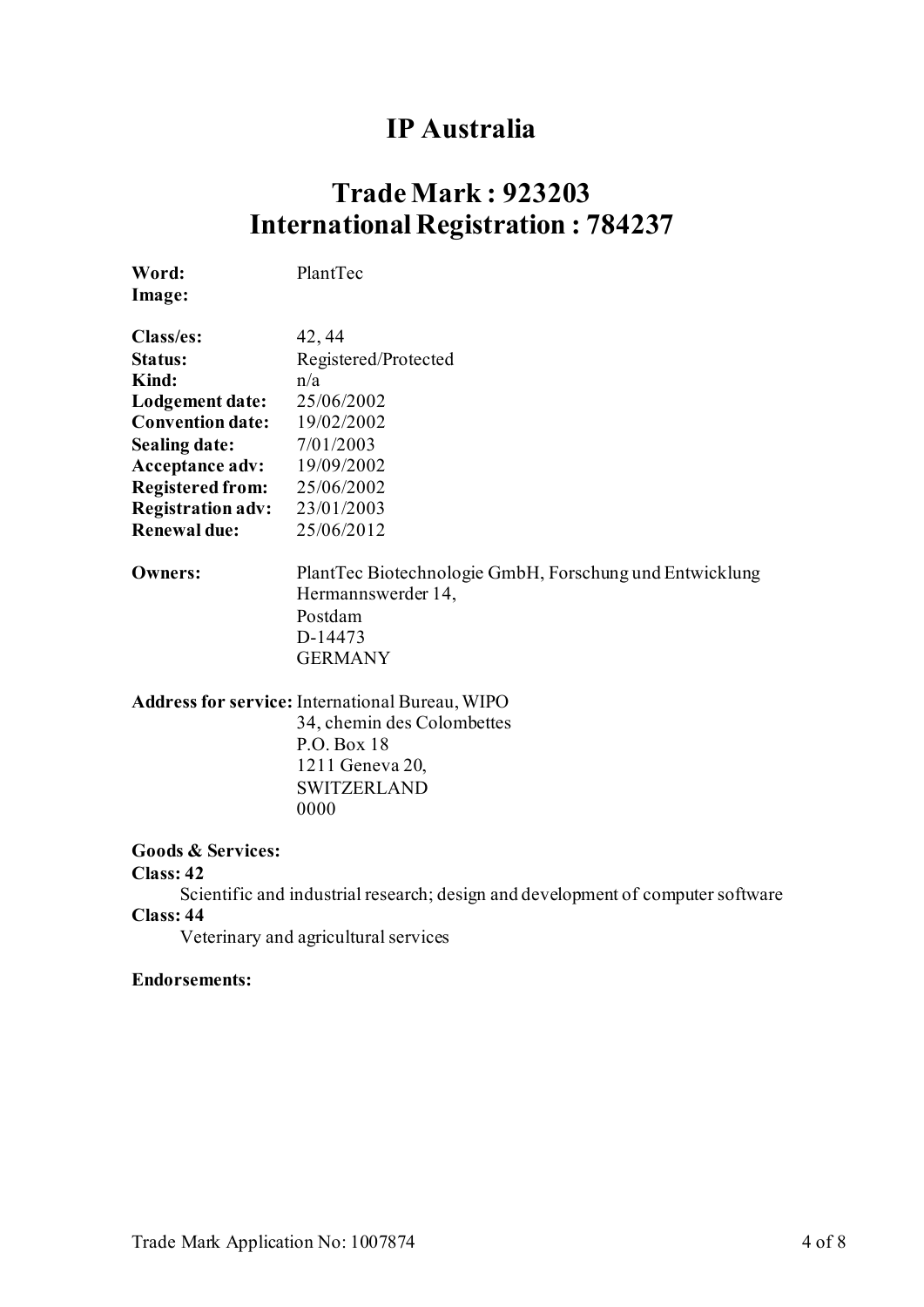### **IP Australia**

## **Trade Mark : 923203 International Registration : 784237**

**Word:** PlantTec

**Image:**

| Class/es:                | 42, 44                                               |
|--------------------------|------------------------------------------------------|
| Status:                  | Registered/Protected                                 |
| Kind:                    | n/a                                                  |
| Lodgement date:          | 25/06/2002                                           |
| <b>Convention date:</b>  | 19/02/2002                                           |
| <b>Sealing date:</b>     | 7/01/2003                                            |
| <b>Acceptance adv:</b>   | 19/09/2002                                           |
| <b>Registered from:</b>  | 25/06/2002                                           |
| <b>Registration adv:</b> | 23/01/2003                                           |
| <b>Renewal due:</b>      | 25/06/2012                                           |
|                          |                                                      |
| Owners:                  | PlantTec Biotechnologie GmbH, Forschung und Entwickl |
|                          |                                                      |

**Owners:** PlantTec Biotechnologie GmbH, Forschung und Entwicklung Hermannswerder 14, Postdam D-14473 GERMANY

**Address for service:** International Bureau, WIPO

34, chemin des Colombettes P.O. Box 18 1211 Geneva 20, SWITZERLAND 0000

#### **Goods & Services:**

#### **Class: 42**

Scientific and industrial research; design and development of computer software **Class: 44**

Veterinary and agricultural services

#### **Endorsements:**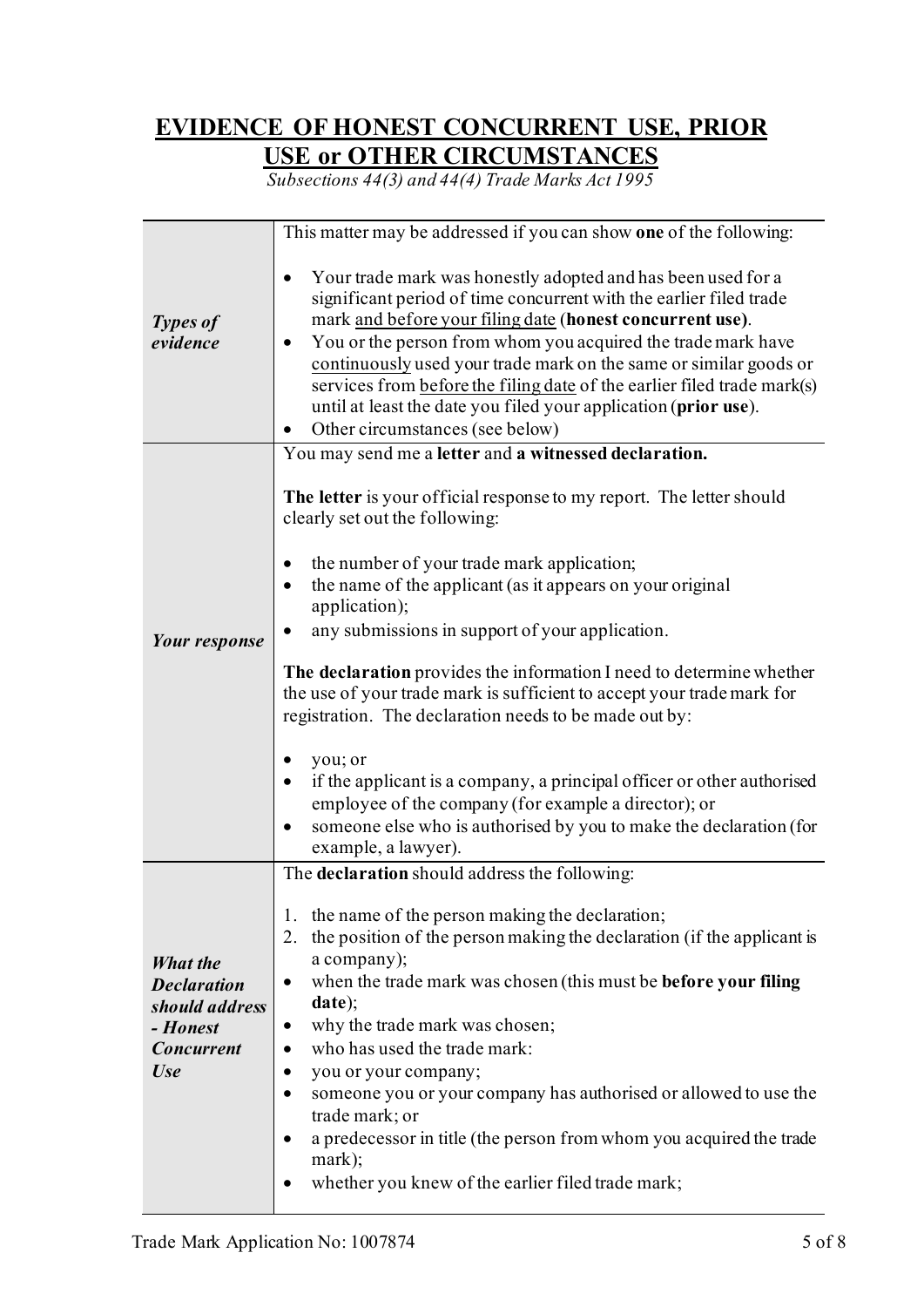### **EVIDENCE OF HONEST CONCURRENT USE, PRIOR USE or OTHER CIRCUMSTANCES**

*Subsections 44(3) and 44(4) Trade Marks Act 1995*

|                                                                                                 | This matter may be addressed if you can show one of the following:                                                                                                                                                                                                                                                                                                                                                                                                                                                                                                                             |
|-------------------------------------------------------------------------------------------------|------------------------------------------------------------------------------------------------------------------------------------------------------------------------------------------------------------------------------------------------------------------------------------------------------------------------------------------------------------------------------------------------------------------------------------------------------------------------------------------------------------------------------------------------------------------------------------------------|
| <b>Types of</b><br>evidence                                                                     | Your trade mark was honestly adopted and has been used for a<br>significant period of time concurrent with the earlier filed trade<br>mark and before your filing date (honest concurrent use).<br>You or the person from whom you acquired the trade mark have<br>continuously used your trade mark on the same or similar goods or<br>services from before the filing date of the earlier filed trade mark(s)<br>until at least the date you filed your application (prior use).<br>Other circumstances (see below)                                                                          |
|                                                                                                 | You may send me a letter and a witnessed declaration.                                                                                                                                                                                                                                                                                                                                                                                                                                                                                                                                          |
|                                                                                                 | The letter is your official response to my report. The letter should<br>clearly set out the following:<br>the number of your trade mark application;<br>the name of the applicant (as it appears on your original<br>application);                                                                                                                                                                                                                                                                                                                                                             |
|                                                                                                 | any submissions in support of your application.                                                                                                                                                                                                                                                                                                                                                                                                                                                                                                                                                |
| Your response                                                                                   | The declaration provides the information I need to determine whether<br>the use of your trade mark is sufficient to accept your trade mark for<br>registration. The declaration needs to be made out by:<br>you; or<br>if the applicant is a company, a principal officer or other authorised<br>employee of the company (for example a director); or<br>someone else who is authorised by you to make the declaration (for<br>example, a lawyer).                                                                                                                                             |
|                                                                                                 | The declaration should address the following:                                                                                                                                                                                                                                                                                                                                                                                                                                                                                                                                                  |
| What the<br><b>Declaration</b><br>should address<br>- Honest<br><b>Concurrent</b><br><b>Use</b> | 1. the name of the person making the declaration;<br>the position of the person making the declaration (if the applicant is<br>2.<br>a company);<br>when the trade mark was chosen (this must be <b>before your filing</b><br>$\bullet$<br>date);<br>why the trade mark was chosen;<br>$\bullet$<br>who has used the trade mark:<br>you or your company;<br>٠<br>someone you or your company has authorised or allowed to use the<br>trade mark; or<br>a predecessor in title (the person from whom you acquired the trade<br>mark);<br>whether you knew of the earlier filed trade mark;<br>٠ |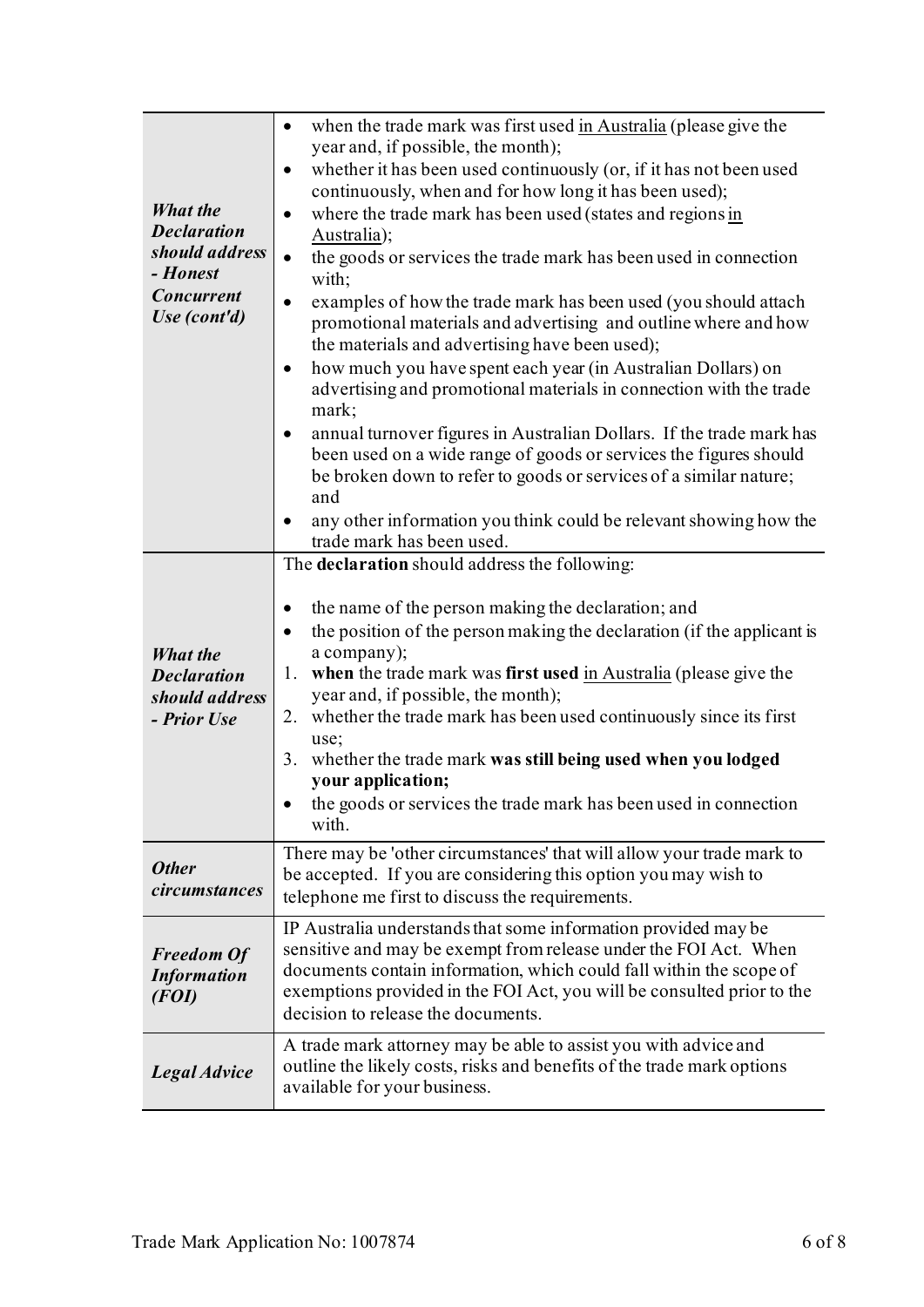| <b>What the</b><br><b>Declaration</b><br>should address<br>- Honest<br><b>Concurrent</b><br>Use (cont'd) | when the trade mark was first used in Australia (please give the<br>$\bullet$<br>year and, if possible, the month);<br>whether it has been used continuously (or, if it has not been used<br>$\bullet$<br>continuously, when and for how long it has been used);<br>where the trade mark has been used (states and regions in<br>$\bullet$<br>Australia);<br>the goods or services the trade mark has been used in connection<br>$\bullet$<br>with;<br>examples of how the trade mark has been used (you should attach<br>$\bullet$<br>promotional materials and advertising and outline where and how<br>the materials and advertising have been used); |
|----------------------------------------------------------------------------------------------------------|----------------------------------------------------------------------------------------------------------------------------------------------------------------------------------------------------------------------------------------------------------------------------------------------------------------------------------------------------------------------------------------------------------------------------------------------------------------------------------------------------------------------------------------------------------------------------------------------------------------------------------------------------------|
|                                                                                                          | how much you have spent each year (in Australian Dollars) on<br>٠<br>advertising and promotional materials in connection with the trade<br>mark;<br>annual turnover figures in Australian Dollars. If the trade mark has<br>٠<br>been used on a wide range of goods or services the figures should<br>be broken down to refer to goods or services of a similar nature;<br>and<br>any other information you think could be relevant showing how the                                                                                                                                                                                                      |
|                                                                                                          | trade mark has been used.<br>The declaration should address the following:                                                                                                                                                                                                                                                                                                                                                                                                                                                                                                                                                                               |
| <b>What the</b><br><b>Declaration</b><br>should address<br>- Prior Use                                   | the name of the person making the declaration; and<br>the position of the person making the declaration (if the applicant is<br>a company);<br>when the trade mark was first used in Australia (please give the<br>1.<br>year and, if possible, the month);<br>whether the trade mark has been used continuously since its first<br>2.<br>use;<br>whether the trade mark was still being used when you lodged<br>3.<br>your application;<br>the goods or services the trade mark has been used in connection<br>with.                                                                                                                                    |
| <b>Other</b><br>circumstances                                                                            | There may be 'other circumstances' that will allow your trade mark to<br>be accepted. If you are considering this option you may wish to<br>telephone me first to discuss the requirements.                                                                                                                                                                                                                                                                                                                                                                                                                                                              |
| <b>Freedom Of</b><br><b>Information</b><br>(FO I)                                                        | IP Australia understands that some information provided may be<br>sensitive and may be exempt from release under the FOI Act. When<br>documents contain information, which could fall within the scope of<br>exemptions provided in the FOI Act, you will be consulted prior to the<br>decision to release the documents.                                                                                                                                                                                                                                                                                                                                |
| Legal Advice                                                                                             | A trade mark attorney may be able to assist you with advice and<br>outline the likely costs, risks and benefits of the trade mark options<br>available for your business.                                                                                                                                                                                                                                                                                                                                                                                                                                                                                |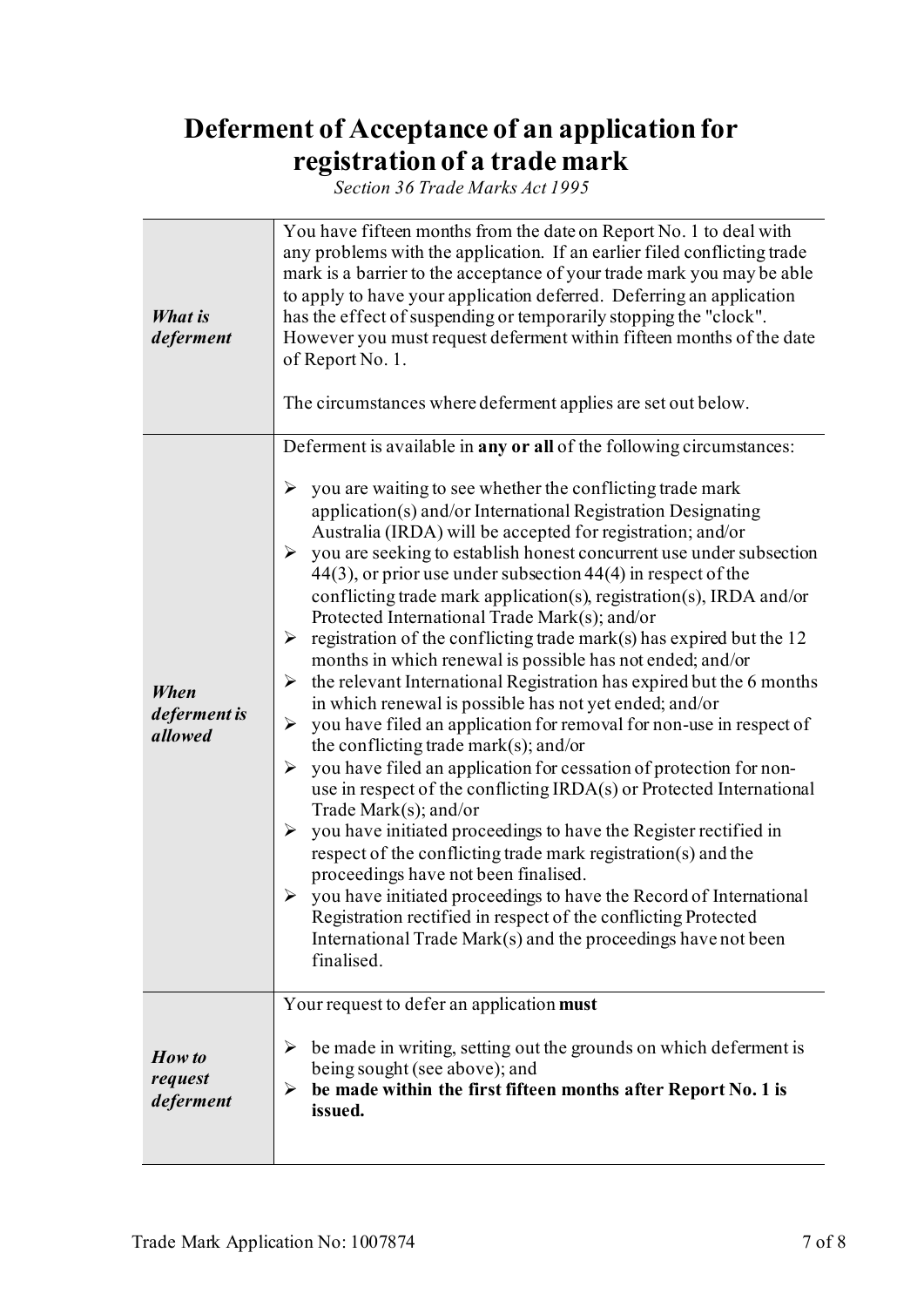# **Deferment of Acceptance of an application for registration of a trade mark**

*Section 36 Trade Marks Act 1995*

| What is<br>deferment            | You have fifteen months from the date on Report No. 1 to deal with<br>any problems with the application. If an earlier filed conflicting trade<br>mark is a barrier to the acceptance of your trade mark you may be able<br>to apply to have your application deferred. Deferring an application<br>has the effect of suspending or temporarily stopping the "clock".<br>However you must request deferment within fifteen months of the date<br>of Report No. 1.<br>The circumstances where deferment applies are set out below.                                                                                                                                                                                                                                                                                                                                                                                                                                                                                                                                                                                                                                                                                                                                                                                                                                                                                                                                                                                                                 |
|---------------------------------|---------------------------------------------------------------------------------------------------------------------------------------------------------------------------------------------------------------------------------------------------------------------------------------------------------------------------------------------------------------------------------------------------------------------------------------------------------------------------------------------------------------------------------------------------------------------------------------------------------------------------------------------------------------------------------------------------------------------------------------------------------------------------------------------------------------------------------------------------------------------------------------------------------------------------------------------------------------------------------------------------------------------------------------------------------------------------------------------------------------------------------------------------------------------------------------------------------------------------------------------------------------------------------------------------------------------------------------------------------------------------------------------------------------------------------------------------------------------------------------------------------------------------------------------------|
| When<br>deferment is<br>allowed | Deferment is available in any or all of the following circumstances:<br>you are waiting to see whether the conflicting trade mark<br>➤<br>application(s) and/or International Registration Designating<br>Australia (IRDA) will be accepted for registration; and/or<br>you are seeking to establish honest concurrent use under subsection<br>➤<br>$44(3)$ , or prior use under subsection $44(4)$ in respect of the<br>conflicting trade mark application(s), registration(s), IRDA and/or<br>Protected International Trade Mark(s); and/or<br>registration of the conflicting trade mark(s) has expired but the 12<br>➤<br>months in which renewal is possible has not ended; and/or<br>the relevant International Registration has expired but the 6 months<br>➤<br>in which renewal is possible has not yet ended; and/or<br>you have filed an application for removal for non-use in respect of<br>➤<br>the conflicting trade mark(s); and/or<br>you have filed an application for cessation of protection for non-<br>➤<br>use in respect of the conflicting IRDA(s) or Protected International<br>Trade Mark $(s)$ ; and/or<br>you have initiated proceedings to have the Register rectified in<br>➤<br>respect of the conflicting trade mark registration(s) and the<br>proceedings have not been finalised.<br>you have initiated proceedings to have the Record of International<br>➤<br>Registration rectified in respect of the conflicting Protected<br>International Trade Mark(s) and the proceedings have not been<br>finalised. |
| How to<br>request<br>deferment  | Your request to defer an application must<br>be made in writing, setting out the grounds on which deferment is<br>➤<br>being sought (see above); and<br>be made within the first fifteen months after Report No. 1 is<br>➤<br>issued.                                                                                                                                                                                                                                                                                                                                                                                                                                                                                                                                                                                                                                                                                                                                                                                                                                                                                                                                                                                                                                                                                                                                                                                                                                                                                                             |